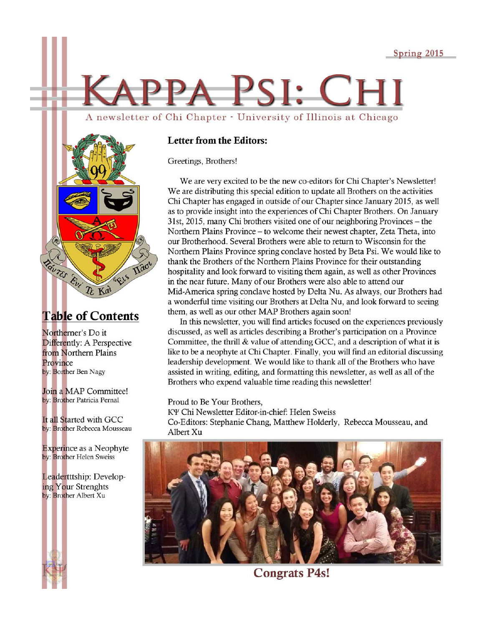# APPA PSI: CH A newsletter of Chi Chapter - University of Illinois at Chicago



#### **Table of Contents**

Northerner's Do it Differently: A Perspective from Northern Plains Province by: Borther Ben Nagy

Join a MAP Committee! by: Brother Patricia Pernal

It all Started with GCC by: Brother Rebecca Mousseau

**Experince as a Neophyte** by: Brother Helen Sweiss

Leadertttship: Developing Your Strenghts by: Brother Albert Xu



#### **Letter from the Editors:**

Greetings, Brothers!

We are very excited to be the new co-editors for Chi Chapter's Newsletter! We are distributing this special edition to update all Brothers on the activities Chi Chapter has engaged in outside of our Chapter since January 2015, as well as to provide insight into the experiences of Chi Chapter Brothers. On January 31st, 2015, many Chi brothers visited one of our neighboring Provinces – the Northern Plains Province – to welcome their newest chapter, Zeta Theta, into our Brotherhood. Several Brothers were able to return to Wisconsin for the Northern Plains Province spring conclave hosted by Beta Psi. We would like to thank the Brothers of the Northern Plains Province for their outstanding hospitality and look forward to visiting them again, as well as other Provinces in the near future. Many of our Brothers were also able to attend our Mid-America spring conclave hosted by Delta Nu. As always, our Brothers had a wonderful time visiting our Brothers at Delta Nu, and look forward to seeing them, as well as our other MAP Brothers again soon!

In this newsletter, you will find articles focused on the experiences previously discussed, as well as articles describing a Brother's participation on a Province Committee, the thrill & value of attending GCC, and a description of what it is like to be a neophyte at Chi Chapter. Finally, you will find an editorial discussing leadership development. We would like to thank all of the Brothers who have assisted in writing, editing, and formatting this newsletter, as well as all of the Brothers who expend valuable time reading this newsletter!

Proud to Be Your Brothers,

KY Chi Newsletter Editor-in-chief: Helen Sweiss Co-Editors: Stephanie Chang, Matthew Holderly, Rebecca Mousseau, and Albert Xu



**Congrats P4s!**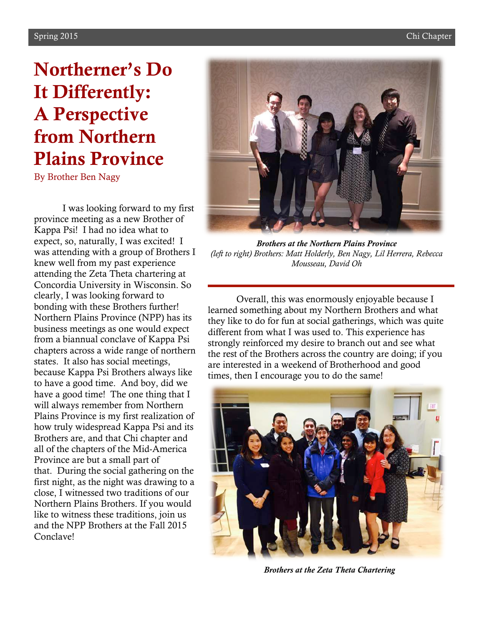## Northerner's Do It Differently: A Perspective from Northern Plains Province

By Brother Ben Nagy

I was looking forward to my first province meeting as a new Brother of Kappa Psi! I had no idea what to expect, so, naturally, I was excited! I was attending with a group of Brothers I knew well from my past experience attending the Zeta Theta chartering at Concordia University in Wisconsin. So clearly, I was looking forward to bonding with these Brothers further! Northern Plains Province (NPP) has its business meetings as one would expect from a biannual conclave of Kappa Psi chapters across a wide range of northern states. It also has social meetings, because Kappa Psi Brothers always like to have a good time. And boy, did we have a good time! The one thing that I will always remember from Northern Plains Province is my first realization of how truly widespread Kappa Psi and its Brothers are, and that Chi chapter and all of the chapters of the Mid-America Province are but a small part of that. During the social gathering on the first night, as the night was drawing to a close, I witnessed two traditions of our Northern Plains Brothers. If you would like to witness these traditions, join us and the NPP Brothers at the Fall 2015 Conclave!



*Brothers at the Northern Plains Province (left to right) Brothers: Matt Holderly, Ben Nagy, Lil Herrera, Rebecca Mousseau, David Oh*

Overall, this was enormously enjoyable because I learned something about my Northern Brothers and what they like to do for fun at social gatherings, which was quite different from what I was used to. This experience has strongly reinforced my desire to branch out and see what the rest of the Brothers across the country are doing; if you are interested in a weekend of Brotherhood and good times, then I encourage you to do the same!



*Brothers at the Zeta Theta Chartering*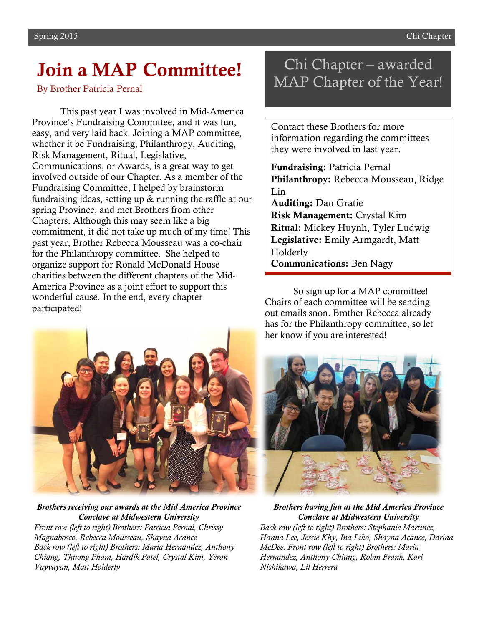### Join a MAP Committee!

By Brother Patricia Pernal

This past year I was involved in Mid-America Province's Fundraising Committee, and it was fun, easy, and very laid back. Joining a MAP committee, whether it be Fundraising, Philanthropy, Auditing, Risk Management, Ritual, Legislative, Communications, or Awards, is a great way to get involved outside of our Chapter. As a member of the Fundraising Committee, I helped by brainstorm fundraising ideas, setting up & running the raffle at our spring Province, and met Brothers from other Chapters. Although this may seem like a big commitment, it did not take up much of my time! This past year, Brother Rebecca Mousseau was a co-chair for the Philanthropy committee. She helped to organize support for Ronald McDonald House charities between the different chapters of the Mid-America Province as a joint effort to support this wonderful cause. In the end, every chapter participated!



*Brothers receiving our awards at the Mid America Province Conclave at Midwestern University Front row (left to right) Brothers: Patricia Pernal, Chrissy Magnabosco, Rebecca Mousseau, Shayna Acance Back row (left to right) Brothers: Maria Hernandez, Anthony Chiang, Thuong Pham, Hardik Patel, Crystal Kim, Yeran Vayvayan, Matt Holderly*

#### Chi Chapter – awarded MAP Chapter of the Year!

Contact these Brothers for more information regarding the committees they were involved in last year.

Fundraising: Patricia Pernal Philanthropy: Rebecca Mousseau, Ridge Lin Auditing: Dan Gratie Risk Management: Crystal Kim Ritual: Mickey Huynh, Tyler Ludwig Legislative: Emily Armgardt, Matt Holderly Communications: Ben Nagy

So sign up for a MAP committee! Chairs of each committee will be sending out emails soon. Brother Rebecca already has for the Philanthropy committee, so let her know if you are interested!



*Brothers having fun at the Mid America Province Conclave at Midwestern University Back row (left to right) Brothers: Stephanie Martinez, Hanna Lee, Jessie Khy, Ina Liko, Shayna Acance, Darina McDee. Front row (left to right) Brothers: Maria Hernandez, Anthony Chiang, Robin Frank, Kari Nishikawa, Lil Herrera*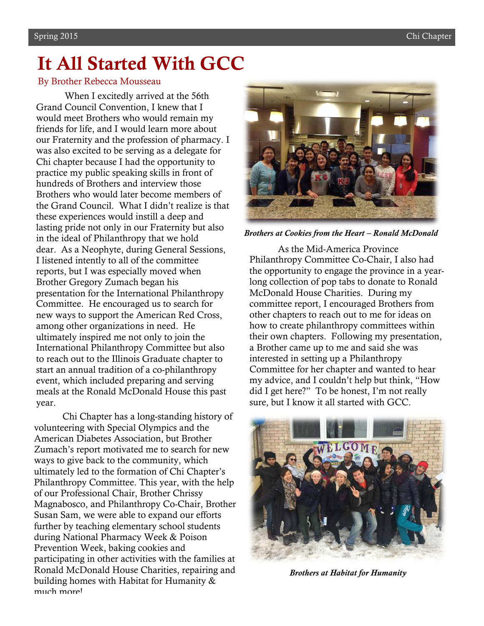### It All Started With GCC

#### By Brother Rebecca Mousseau

When I excitedly arrived at the 56th Grand Council Convention, I knew that I would meet Brothers who would remain my friends for life, and I would learn more about our Fraternity and the profession of pharmacy. I was also excited to be serving as a delegate for Chi chapter because I had the opportunity to practice my public speaking skills in front of hundreds of Brothers and interview those Brothers who would later become members of the Grand Council. What I didn't realize is that these experiences would instill a deep and lasting pride not only in our Fraternity but also in the ideal of Philanthropy that we hold dear. As a Neophyte, during General Sessions, I listened intently to all of the committee reports, but I was especially moved when Brother Gregory Zumach began his presentation for the International Philanthropy Committee. He encouraged us to search for new ways to support the American Red Cross, among other organizations in need. He ultimately inspired me not only to join the International Philanthropy Committee but also to reach out to the Illinois Graduate chapter to start an annual tradition of a co-philanthropy event, which included preparing and serving meals at the Ronald McDonald House this past year.

Chi Chapter has a long-standing history of volunteering with Special Olympics and the American Diabetes Association, but Brother Zumach's report motivated me to search for new ways to give back to the community, which ultimately led to the formation of Chi Chapter's Philanthropy Committee. This year, with the help of our Professional Chair, Brother Chrissy Magnabosco, and Philanthropy Co-Chair, Brother Susan Sam, we were able to expand our efforts further by teaching elementary school students during National Pharmacy Week & Poison Prevention Week, baking cookies and participating in other activities with the families at Ronald McDonald House Charities, repairing and building homes with Habitat for Humanity & much more!



*Brothers at Cookies from the Heart – Ronald McDonald* 

As the Mid-America Province Philanthropy Committee Co-Chair, I also had the opportunity to engage the province in a yearlong collection of pop tabs to donate to Ronald McDonald House Charities. During my committee report, I encouraged Brothers from other chapters to reach out to me for ideas on how to create philanthropy committees within their own chapters. Following my presentation, a Brother came up to me and said she was interested in setting up a Philanthropy Committee for her chapter and wanted to hear my advice, and I couldn't help but think, "How did I get here?" To be honest, I'm not really sure, but I know it all started with GCC.



*Brothers at Habitat for Humanity*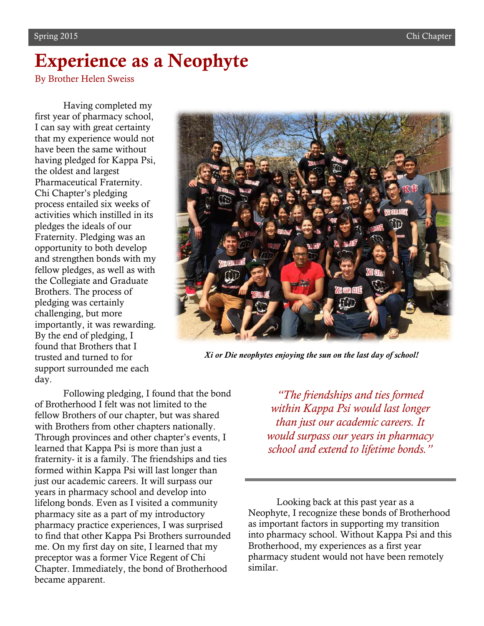## Experience as a Neophyte

By Brother Helen Sweiss

Having completed my first year of pharmacy school, I can say with great certainty that my experience would not have been the same without having pledged for Kappa Psi, the oldest and largest Pharmaceutical Fraternity. Chi Chapter's pledging process entailed six weeks of activities which instilled in its pledges the ideals of our Fraternity. Pledging was an opportunity to both develop and strengthen bonds with my fellow pledges, as well as with the Collegiate and Graduate Brothers. The process of pledging was certainly challenging, but more importantly, it was rewarding. By the end of pledging, I found that Brothers that I trusted and turned to for support surrounded me each day.

a ne nif

*Xi or Die neophytes enjoying the sun on the last day of school!*

Following pledging, I found that the bond of Brotherhood I felt was not limited to the fellow Brothers of our chapter, but was shared with Brothers from other chapters nationally. Through provinces and other chapter's events, I learned that Kappa Psi is more than just a fraternity- it is a family. The friendships and ties formed within Kappa Psi will last longer than just our academic careers. It will surpass our years in pharmacy school and develop into lifelong bonds. Even as I visited a community pharmacy site as a part of my introductory pharmacy practice experiences, I was surprised to find that other Kappa Psi Brothers surrounded me. On my first day on site, I learned that my preceptor was a former Vice Regent of Chi Chapter. Immediately, the bond of Brotherhood became apparent.

*"The friendships and ties formed within Kappa Psi would last longer than just our academic careers. It would surpass our years in pharmacy school and extend to lifetime bonds."*

Looking back at this past year as a Neophyte, I recognize these bonds of Brotherhood as important factors in supporting my transition into pharmacy school. Without Kappa Psi and this Brotherhood, my experiences as a first year pharmacy student would not have been remotely similar.